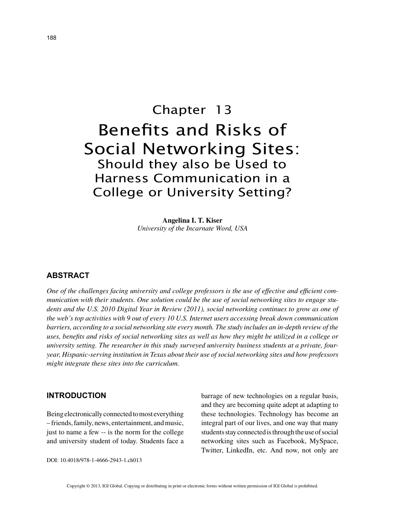# Chapter 13 Benefits and Risks of Social Networking Sites: Should they also be Used to Harness Communication in a College or University Setting?

**Angelina I. T. Kiser** *University of the Incarnate Word, USA*

## **ABSTRACT**

*One of the challenges facing university and college professors is the use of effective and efficient communication with their students. One solution could be the use of social networking sites to engage students and the U.S. 2010 Digital Year in Review (2011), social networking continues to grow as one of the web's top activities with 9 out of every 10 U.S. Internet users accessing break down communication barriers, according to a social networking site every month. The study includes an in-depth review of the uses, benefits and risks of social networking sites as well as how they might be utilized in a college or university setting. The researcher in this study surveyed university business students at a private, fouryear, Hispanic-serving institution in Texas about their use of social networking sites and how professors might integrate these sites into the curriculum.*

## **INTRODUCTION**

Being electronically connected to most everything – friends, family, news, entertainment, and music, just to name a few -- is the norm for the college and university student of today. Students face a barrage of new technologies on a regular basis, and they are becoming quite adept at adapting to these technologies. Technology has become an integral part of our lives, and one way that many students stay connected is through the use of social networking sites such as Facebook, MySpace, Twitter, LinkedIn, etc. And now, not only are

DOI: 10.4018/978-1-4666-2943-1.ch013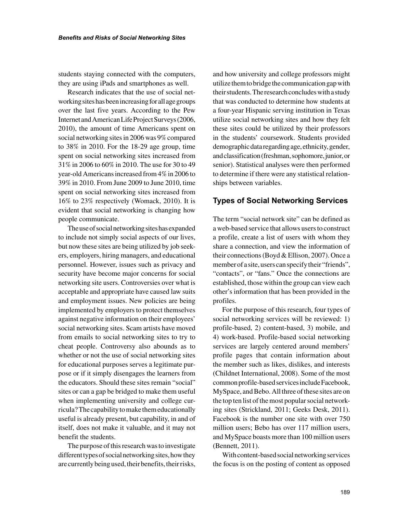students staying connected with the computers, they are using iPads and smartphones as well.

Research indicates that the use of social networking sites has been increasing for all age groups over the last five years. According to the Pew Internet and American Life Project Surveys (2006, 2010), the amount of time Americans spent on social networking sites in 2006 was 9% compared to 38% in 2010. For the 18-29 age group, time spent on social networking sites increased from 31% in 2006 to 60% in 2010. The use for 30 to 49 year-old Americans increased from 4% in 2006 to 39% in 2010. From June 2009 to June 2010, time spent on social networking sites increased from 16% to 23% respectively (Womack, 2010). It is evident that social networking is changing how people communicate.

The use of social networking sites has expanded to include not simply social aspects of our lives, but now these sites are being utilized by job seekers, employers, hiring managers, and educational personnel. However, issues such as privacy and security have become major concerns for social networking site users. Controversies over what is acceptable and appropriate have caused law suits and employment issues. New policies are being implemented by employers to protect themselves against negative information on their employees' social networking sites. Scam artists have moved from emails to social networking sites to try to cheat people. Controversy also abounds as to whether or not the use of social networking sites for educational purposes serves a legitimate purpose or if it simply disengages the learners from the educators. Should these sites remain "social" sites or can a gap be bridged to make them useful when implementing university and college curricula? The capability to make them educationally useful is already present, but capability, in and of itself, does not make it valuable, and it may not benefit the students.

The purpose of this research was to investigate different types of social networking sites, how they are currently being used, their benefits, their risks, and how university and college professors might utilize them to bridge the communication gap with their students. The research concludes with a study that was conducted to determine how students at a four-year Hispanic serving institution in Texas utilize social networking sites and how they felt these sites could be utilized by their professors in the students' coursework. Students provided demographic data regarding age, ethnicity, gender, and classification (freshman, sophomore, junior, or senior). Statistical analyses were then performed to determine if there were any statistical relationships between variables.

## **Types of Social Networking Services**

The term "social network site" can be defined as a web-based service that allows users to construct a profile, create a list of users with whom they share a connection, and view the information of their connections (Boyd & Ellison, 2007). Once a member of a site, users can specify their "friends", "contacts", or "fans." Once the connections are established, those within the group can view each other's information that has been provided in the profiles.

For the purpose of this research, four types of social networking services will be reviewed: 1) profile-based, 2) content-based, 3) mobile, and 4) work-based. Profile-based social networking services are largely centered around members' profile pages that contain information about the member such as likes, dislikes, and interests (Childnet International, 2008). Some of the most common profile-based services include Facebook, MySpace, and Bebo. All three of these sites are on the top ten list of the most popular social networking sites (Strickland, 2011; Geeks Desk, 2011). Facebook is the number one site with over 750 million users; Bebo has over 117 million users, and MySpace boasts more than 100 million users (Bennett, 2011).

With content-based social networking services the focus is on the posting of content as opposed